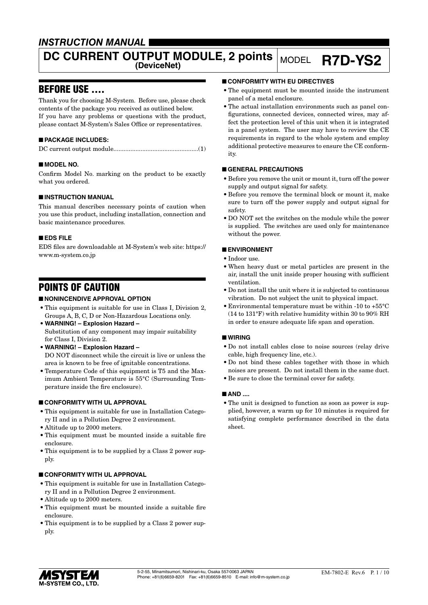# *INSTRUCTION MANUAL*

# **DC CURRENT OUTPUT MODULE, 2 points MODEL R7D-YS2**

# BEFORE USE ....

Thank you for choosing M-System. Before use, please check contents of the package you received as outlined below. If you have any problems or questions with the product, please contact M-System's Sales Office or representatives.

# ■ **PACKAGE INCLUDES:**

|--|--|

## ■ **MODEL NO.**

Confirm Model No. marking on the product to be exactly what you ordered.

## ■ **INSTRUCTION MANUAL**

This manual describes necessary points of caution when you use this product, including installation, connection and basic maintenance procedures.

#### ■ **EDS FILE**

EDS files are downloadable at M-System's web site: https:// www.m-system.co.jp

# POINTS OF CAUTION

# ■ **NONINCENDIVE APPROVAL OPTION**

- This equipment is suitable for use in Class I, Division 2, Groups A, B, C, D or Non-Hazardous Locations only.
- **WARNING! Explosion Hazard –** Substitution of any component may impair suitability for Class I, Division 2.
- **WARNING! Explosion Hazard –** DO NOT disconnect while the circuit is live or unless the area is known to be free of ignitable concentrations.
- Temperature Code of this equipment is T5 and the Maximum Ambient Temperature is 55°C (Surrounding Temperature inside the fire enclosure).

## ■ **CONFORMITY WITH UL APPROVAL**

- This equipment is suitable for use in Installation Category II and in a Pollution Degree 2 environment.
- Altitude up to 2000 meters.
- This equipment must be mounted inside a suitable fire enclosure.
- This equipment is to be supplied by a Class 2 power supply.

## ■ **CONFORMITY WITH UL APPROVAL**

- This equipment is suitable for use in Installation Category II and in a Pollution Degree 2 environment.
- Altitude up to 2000 meters.
- This equipment must be mounted inside a suitable fire enclosure.
- This equipment is to be supplied by a Class 2 power supply.

# ■ **CONFORMITY WITH EU DIRECTIVES**

- The equipment must be mounted inside the instrument panel of a metal enclosure.
- The actual installation environments such as panel configurations, connected devices, connected wires, may affect the protection level of this unit when it is integrated in a panel system. The user may have to review the CE requirements in regard to the whole system and employ additional protective measures to ensure the CE conformity.

# ■ **GENERAL PRECAUTIONS**

- Before you remove the unit or mount it, turn off the power supply and output signal for safety.
- Before you remove the terminal block or mount it, make sure to turn off the power supply and output signal for safety.
- DO NOT set the switches on the module while the power is supplied. The switches are used only for maintenance without the power.

## ■ **ENVIRONMENT**

- Indoor use.
- When heavy dust or metal particles are present in the air, install the unit inside proper housing with sufficient ventilation.
- Do not install the unit where it is subjected to continuous vibration. Do not subject the unit to physical impact.
- Environmental temperature must be within -10 to +55°C (14 to 131°F) with relative humidity within 30 to 90% RH in order to ensure adequate life span and operation.

## ■ **WIRING**

- Do not install cables close to noise sources (relay drive cable, high frequency line, etc.).
- Do not bind these cables together with those in which noises are present. Do not install them in the same duct.
- Be sure to close the terminal cover for safety.

## ■ **AND** ....

• The unit is designed to function as soon as power is supplied, however, a warm up for 10 minutes is required for satisfying complete performance described in the data sheet.

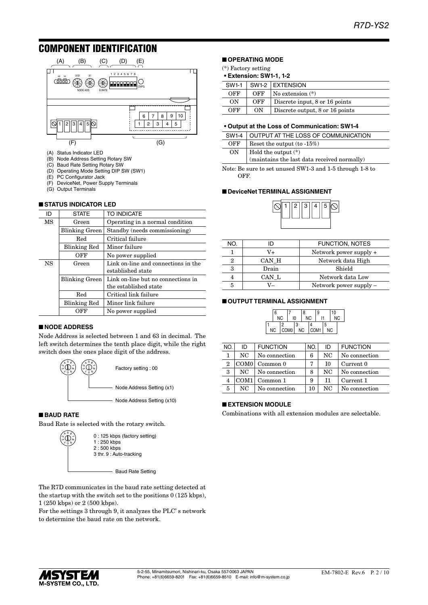# COMPONENT IDENTIFICATION



- (A) Status Indicator LED
- (B) Node Address Setting Rotary SW
- (C) Baud Rate Setting Rotary SW
- (D) Operating Mode Setting DIP SW (SW1)
- PC Configurator Jack
- (F) DeviceNet, Power Supply Terminals
- (G) Output Terminals

#### ■ **STATUS INDICATOR LED**

| ID                 | <b>STATE</b>        | TO INDICATE                                              |
|--------------------|---------------------|----------------------------------------------------------|
| <b>MS</b>          | Green               | Operating in a normal condition                          |
|                    | Blinking Green      | Standby (needs commissioning)                            |
|                    | Red                 | Critical failure                                         |
|                    | <b>Blinking Red</b> | Minor failure                                            |
|                    | OFF                 | No power supplied                                        |
| <b>NS</b><br>Green |                     | Link on-line and connections in the<br>established state |
|                    | Blinking Green      | Link on-line but no connections in                       |
|                    |                     | the established state                                    |
|                    | Red                 | Critical link failure                                    |
|                    | <b>Blinking Red</b> | Minor link failure                                       |
|                    | OFF                 | No power supplied                                        |

#### ■ **NODE ADDRESS**

Node Address is selected between 1 and 63 in decimal. The left switch determines the tenth place digit, while the right switch does the ones place digit of the address.



#### ■ **BAUD RATE**

Baud Rate is selected with the rotary switch.



0 : 125 kbps (factory setting) 3 thr. 9 : Auto-tracking

Baud Rate Setting

The R7D communicates in the baud rate setting detected at the startup with the switch set to the positions  $0(125 \text{ kbps})$ , 1 (250 kbps) or 2 (500 kbps).

For the settings 3 through 9, it analyzes the PLC' s network to determine the baud rate on the network.

# ■ **OPERATING MODE**

(\*) Factory setting

#### **• Extension: SW1-1, 1-2**

| <b>SW1-1</b> |     | SW1-2 EXTENSION                 |  |  |
|--------------|-----|---------------------------------|--|--|
| OFF          | OFF | $\sqrt{N}$ No extension $(*)$   |  |  |
| ON           | OFF | Discrete input, 8 or 16 points  |  |  |
| OFF          | ON  | Discrete output, 8 or 16 points |  |  |

#### **• Output at the Loss of Communication: SW1-4**

|                | SW1-4 OUTPUT AT THE LOSS OF COMMUNICATION                                                                                      |  |  |  |  |
|----------------|--------------------------------------------------------------------------------------------------------------------------------|--|--|--|--|
| OFF            | Reset the output $(to -15\%)$                                                                                                  |  |  |  |  |
| 0 <sub>N</sub> |                                                                                                                                |  |  |  |  |
|                | $\left  \begin{array}{c} \text{Hold the output (*)} \\ \text{(maintains the last data received normally)} \end{array} \right $ |  |  |  |  |

Note: Be sure to set unused SW1-3 and 1-5 through 1-8 to OFF.

#### ■ **DeviceNet TERMINAL ASSIGNMENT**



| NO. | D     | <b>FUNCTION, NOTES</b>   |  |
|-----|-------|--------------------------|--|
|     | V+    | Network power supply +   |  |
| 2   | CAN H | Network data High        |  |
| 3   | Drain | Shield                   |  |
|     | CAN L | Network data Low         |  |
| 5   | V—    | Network power supply $-$ |  |

#### ■ **OUTPUT TERMINAL ASSIGNMENT**

| 6<br><b>NC</b> |                       | 10 |   | 8<br><b>NC</b> |      | 9 |   | 10<br><b>NC</b> |  |
|----------------|-----------------------|----|---|----------------|------|---|---|-----------------|--|
| NC             | Ω<br>COM <sub>0</sub> |    | 3 | <b>NC</b>      | COM1 |   | 5 | NC              |  |

| NO.            | ID               | <b>FUNCTION</b>   | NO. | ID  | <b>FUNCTION</b> |
|----------------|------------------|-------------------|-----|-----|-----------------|
|                | NC.              | No connection     | 6   | NC  | No connection   |
| $\overline{2}$ |                  | $COM0$   Common 0 | 7   | ТO  | Current 0       |
| 3              | NC.              | No connection     | 8   | NC  | No connection   |
| $\overline{4}$ | COM <sub>1</sub> | Common 1          | 9   | T1  | Current 1       |
| 5              | NC.              | No connection     | 10  | NC. | No connection   |

# ■ **EXTENSION MODULE**

Combinations with all extension modules are selectable.

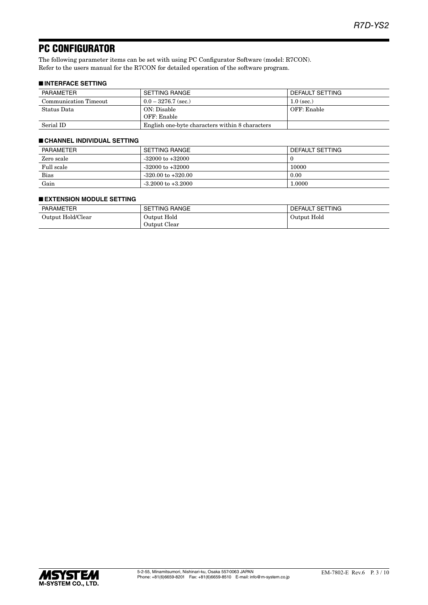# PC CONFIGURATOR

The following parameter items can be set with using PC Configurator Software (model: R7CON). Refer to the users manual for the R7CON for detailed operation of the software program.

# ■ **INTERFACE SETTING**

| PARAMETER             | SETTING RANGE                                   | DEFAULT SETTING |
|-----------------------|-------------------------------------------------|-----------------|
| Communication Timeout | $0.0 - 3276.7$ (sec.)                           | $1.0$ (sec.)    |
| Status Data           | ON: Disable                                     | OFF: Enable     |
|                       | OFF: Enable                                     |                 |
| Serial ID             | English one-byte characters within 8 characters |                 |

## ■ **CHANNEL INDIVIDUAL SETTING**

| <b>PARAMETER</b> | SETTING RANGE          | DEFAULT SETTING |
|------------------|------------------------|-----------------|
| Zero scale       | $-32000$ to $+32000$   |                 |
| Full scale       | $-32000$ to $+32000$   | 10000           |
| Bias             | $-320.00$ to $+320.00$ | 0.00            |
| Gain             | $-3.2000$ to $+3.2000$ | 1.0000          |

#### ■ **EXTENSION MODULE SETTING**

| PARAMETER         | TTING RANGE<br>SET | DEFAULT SETTING |
|-------------------|--------------------|-----------------|
| Output Hold/Clear | Output Hold        | Output Hold     |
|                   | Output Clear       |                 |

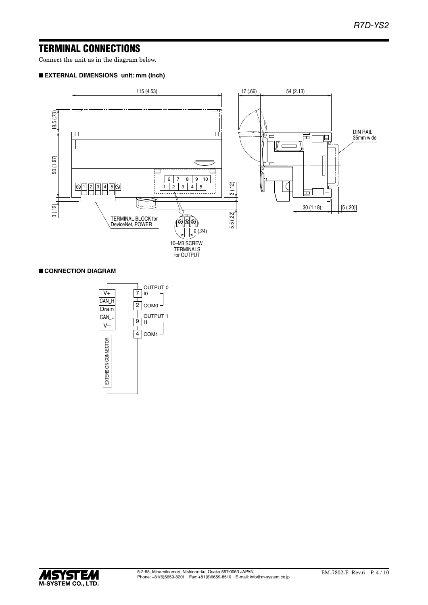# TERMINAL CONNECTIONS

Connect the unit as in the diagram below.

# ■ **EXTERNAL DIMENSIONS unit: mm (inch)**



# ■ **CONNECTION DIAGRAM**



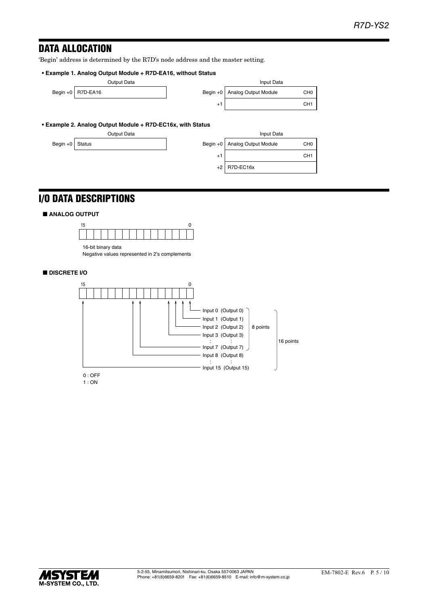# DATA ALLOCATION

'Begin' address is determined by the R7D's node address and the master setting.

#### **• Example 1. Analog Output Module + R7D-EA16, without Status**

|  |                     | Output Data | Input Data                      |                 |
|--|---------------------|-------------|---------------------------------|-----------------|
|  | Begin +0   R7D-EA16 |             | Begin +0   Analog Output Module | CH <sub>0</sub> |
|  |                     |             |                                 | CH <sub>1</sub> |
|  |                     |             |                                 |                 |

|      | Input Data              |                 |
|------|-------------------------|-----------------|
|      | +0 Analog Output Module | CH <sub>0</sub> |
| $+1$ |                         | CH <sub>1</sub> |

#### **• Example 2. Analog Output Module + R7D-EC16x, with Status**

|                   | Output Data |      | Input Data                      |                 |
|-------------------|-------------|------|---------------------------------|-----------------|
| Begin $+0$ Status |             |      | Begin +0   Analog Output Module | CH <sub>0</sub> |
|                   |             | $+1$ |                                 | CH <sub>1</sub> |
|                   |             |      | $+2$ R7D-FC16x                  |                 |

|          | <b>Input Data</b>    |                 |  |  |
|----------|----------------------|-----------------|--|--|
| $\ln +0$ | Analog Output Module | CH <sub>0</sub> |  |  |
| $+1$     |                      | CH <sub>1</sub> |  |  |
| $+2$     | R7D-EC16x            |                 |  |  |
|          |                      |                 |  |  |

# I/O DATA DESCRIPTIONS

#### ■ **ANALOG OUTPUT**



16-bit binary data Negative values represented in 2's complements

# ■ **DISCRETE I/O**



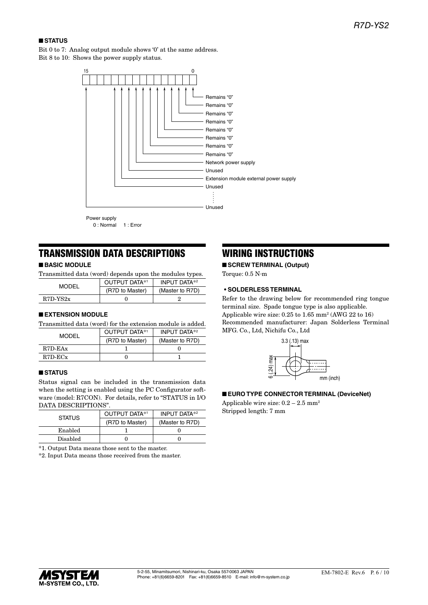# ■ **STATUS**

Bit 0 to 7: Analog output module shows '0' at the same address. Bit 8 to 10: Shows the power supply status.



0 : Normal 1 : Error

# TRANSMISSION DATA DESCRIPTIONS

# ■ **BASIC MODULE**

Transmitted data (word) depends upon the modules types.

| <b>MODEL</b> | OUTPUT DATA*1   | <b>INPUT DATA*2</b> |
|--------------|-----------------|---------------------|
|              | (R7D to Master) | (Master to R7D)     |
| $R7D-YS2x$   |                 |                     |

## ■ **EXTENSION MODULE**

Transmitted data (word) for the extension module is added.

| MODEL         | OUTPUT DATA*1   | <b>INPUT DATA*2</b> |
|---------------|-----------------|---------------------|
|               | (R7D to Master) | (Master to R7D)     |
| $R7D$ -EAx    |                 |                     |
| $R7D$ - $ECx$ |                 |                     |

# ■ **STATUS**

Status signal can be included in the transmission data when the setting is enabled using the PC Configurator software (model: R7CON). For details, refer to "STATUS in I/O DATA DESCRIPTIONS".

| <b>STATUS</b>   | OUTPUT DATA*1   | <b>INPUT DATA*2</b> |  |
|-----------------|-----------------|---------------------|--|
|                 | (R7D to Master) | (Master to R7D)     |  |
| Enabled         |                 |                     |  |
| <b>Disabled</b> |                 |                     |  |

\*1. Output Data means those sent to the master.

\*2. Input Data means those received from the master.

# WIRING INSTRUCTIONS

■ **SCREW TERMINAL (Output)** Torque: 0.5 N·m

## **• SOLDERLESS TERMINAL**

Refer to the drawing below for recommended ring tongue terminal size. Spade tongue type is also applicable. Applicable wire size:  $0.25$  to  $1.65$  mm<sup>2</sup> (AWG 22 to 16) Recommended manufacturer: Japan Solderless Terminal MFG. Co., Ltd, Nichifu Co., Ltd



#### ■ **EURO TYPE CONNECTOR TERMINAL (DeviceNet)**

Applicable wire size:  $0.2 - 2.5$  mm<sup>2</sup> Stripped length: 7 mm

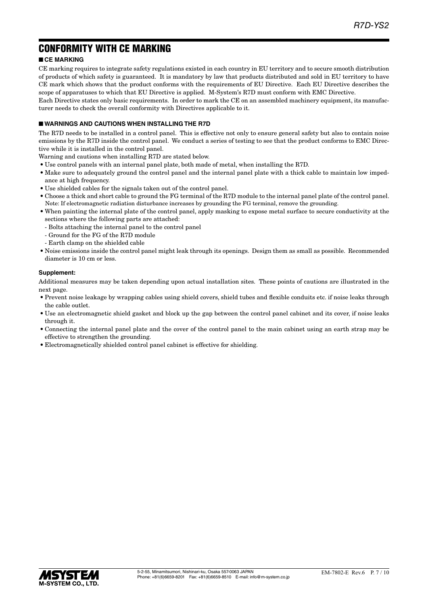# CONFORMITY WITH CE MARKING

# ■ **CE MARKING**

CE marking requires to integrate safety regulations existed in each country in EU territory and to secure smooth distribution of products of which safety is guaranteed. It is mandatory by law that products distributed and sold in EU territory to have CE mark which shows that the product conforms with the requirements of EU Directive. Each EU Directive describes the scope of apparatuses to which that EU Directive is applied. M-System's R7D must conform with EMC Directive.

Each Directive states only basic requirements. In order to mark the CE on an assembled machinery equipment, its manufacturer needs to check the overall conformity with Directives applicable to it.

# ■ **WARNINGS AND CAUTIONS WHEN INSTALLING THE R7D**

The R7D needs to be installed in a control panel. This is effective not only to ensure general safety but also to contain noise emissions by the R7D inside the control panel. We conduct a series of testing to see that the product conforms to EMC Directive while it is installed in the control panel.

Warning and cautions when installing R7D are stated below.

- Use control panels with an internal panel plate, both made of metal, when installing the R7D.
- Make sure to adequately ground the control panel and the internal panel plate with a thick cable to maintain low impedance at high frequency.
- Use shielded cables for the signals taken out of the control panel.
- Choose a thick and short cable to ground the FG terminal of the R7D module to the internal panel plate of the control panel. Note: If electromagnetic radiation disturbance increases by grounding the FG terminal, remove the grounding.
- When painting the internal plate of the control panel, apply masking to expose metal surface to secure conductivity at the sections where the following parts are attached:
	- Bolts attaching the internal panel to the control panel
	- Ground for the FG of the R7D module
	- Earth clamp on the shielded cable
- Noise emissions inside the control panel might leak through its openings. Design them as small as possible. Recommended diameter is 10 cm or less.

## **Supplement:**

Additional measures may be taken depending upon actual installation sites. These points of cautions are illustrated in the next page.

- Prevent noise leakage by wrapping cables using shield covers, shield tubes and flexible conduits etc. if noise leaks through the cable outlet.
- Use an electromagnetic shield gasket and block up the gap between the control panel cabinet and its cover, if noise leaks through it.
- Connecting the internal panel plate and the cover of the control panel to the main cabinet using an earth strap may be effective to strengthen the grounding.
- Electromagnetically shielded control panel cabinet is effective for shielding.

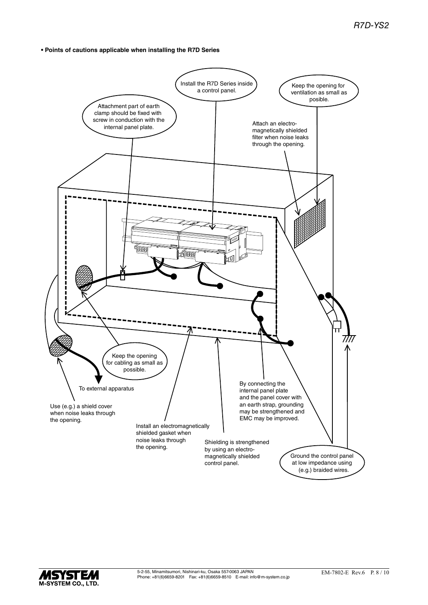**• Points of cautions applicable when installing the R7D Series**



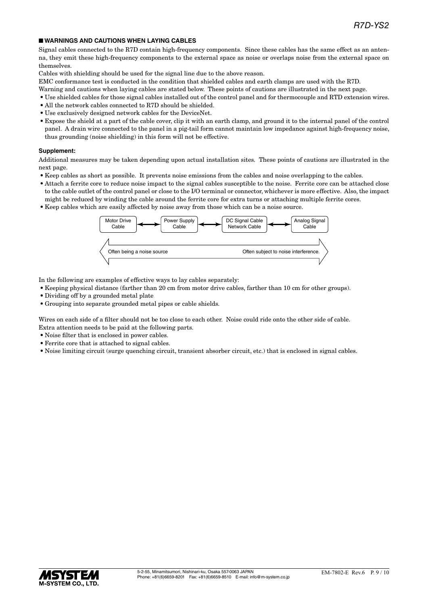## ■ **WARNINGS AND CAUTIONS WHEN LAYING CABLES**

Signal cables connected to the R7D contain high-frequency components. Since these cables has the same effect as an antenna, they emit these high-frequency components to the external space as noise or overlaps noise from the external space on themselves.

Cables with shielding should be used for the signal line due to the above reason.

EMC conformance test is conducted in the condition that shielded cables and earth clamps are used with the R7D.

- Warning and cautions when laying cables are stated below. These points of cautions are illustrated in the next page.
- Use shielded cables for those signal cables installed out of the control panel and for thermocouple and RTD extension wires.
- All the network cables connected to R7D should be shielded.
- Use exclusively designed network cables for the DeviceNet.
- Expose the shield at a part of the cable cover, clip it with an earth clamp, and ground it to the internal panel of the control panel. A drain wire connected to the panel in a pig-tail form cannot maintain low impedance against high-frequency noise, thus grounding (noise shielding) in this form will not be effective.

#### **Supplement:**

Additional measures may be taken depending upon actual installation sites. These points of cautions are illustrated in the next page.

- Keep cables as short as possible. It prevents noise emissions from the cables and noise overlapping to the cables.
- Attach a ferrite core to reduce noise impact to the signal cables susceptible to the noise. Ferrite core can be attached close to the cable outlet of the control panel or close to the I/O terminal or connector, whichever is more effective. Also, the impact might be reduced by winding the cable around the ferrite core for extra turns or attaching multiple ferrite cores.
- Keep cables which are easily affected by noise away from those which can be a noise source.



In the following are examples of effective ways to lay cables separately:

- Keeping physical distance (farther than 20 cm from motor drive cables, farther than 10 cm for other groups).
- Dividing off by a grounded metal plate
- Grouping into separate grounded metal pipes or cable shields.

Wires on each side of a filter should not be too close to each other. Noise could ride onto the other side of cable. Extra attention needs to be paid at the following parts.

- Noise filter that is enclosed in power cables.
- Ferrite core that is attached to signal cables.
- Noise limiting circuit (surge quenching circuit, transient absorber circuit, etc.) that is enclosed in signal cables.